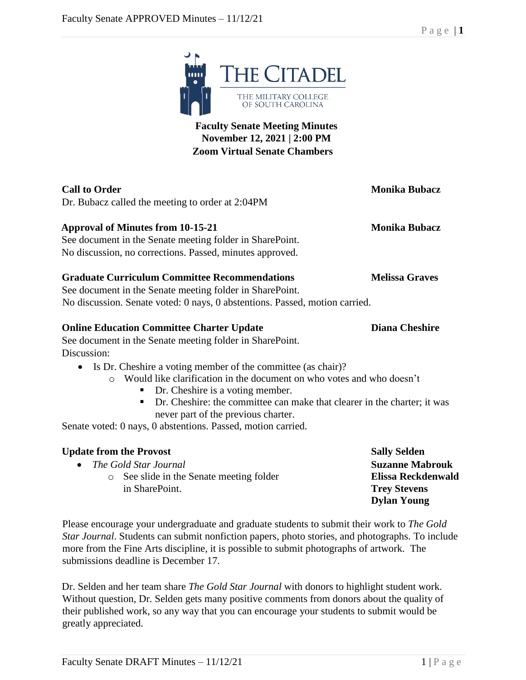

# **Faculty Senate Meeting Minutes November 12, 2021 | 2:00 PM Zoom Virtual Senate Chambers**

| <b>Call to Order</b><br>Dr. Bubacz called the meeting to order at 2:04PM                                                                                                                                                                                                                                                              | <b>Monika Bubacz</b>  |
|---------------------------------------------------------------------------------------------------------------------------------------------------------------------------------------------------------------------------------------------------------------------------------------------------------------------------------------|-----------------------|
| <b>Approval of Minutes from 10-15-21</b><br>See document in the Senate meeting folder in SharePoint.<br>No discussion, no corrections. Passed, minutes approved.                                                                                                                                                                      | <b>Monika Bubacz</b>  |
| <b>Graduate Curriculum Committee Recommendations</b><br>See document in the Senate meeting folder in SharePoint.<br>No discussion. Senate voted: 0 nays, 0 abstentions. Passed, motion carried.                                                                                                                                       | <b>Melissa Graves</b> |
| <b>Online Education Committee Charter Update</b><br>See document in the Senate meeting folder in SharePoint.                                                                                                                                                                                                                          | <b>Diana Cheshire</b> |
| Discussion:<br>• Is Dr. Cheshire a voting member of the committee (as chair)?<br>Would like clarification in the document on who votes and who doesn't<br>$\bigcirc$<br>Dr. Cheshire is a voting member.<br>п<br>Dr. Cheshire: the committee can make that clearer in the charter; it was<br>٠<br>never part of the previous charter. |                       |
| Senate voted: 0 nays, 0 abstentions. Passed, motion carried.                                                                                                                                                                                                                                                                          |                       |

| <b>Update from the Provost</b>                    | <b>Sally Selden</b>    |
|---------------------------------------------------|------------------------|
| • The Gold Star Journal                           | <b>Suzanne Mabrouk</b> |
| See slide in the Senate meeting folder<br>$\circ$ | Elissa Reckdenwald     |
| in SharePoint.                                    | <b>Trey Stevens</b>    |
|                                                   | <b>Dylan Young</b>     |

Please encourage your undergraduate and graduate students to submit their work to *The Gold Star Journal*. Students can submit nonfiction papers, photo stories, and photographs. To include more from the Fine Arts discipline, it is possible to submit photographs of artwork. The submissions deadline is December 17.

Dr. Selden and her team share *The Gold Star Journal* with donors to highlight student work. Without question, Dr. Selden gets many positive comments from donors about the quality of their published work, so any way that you can encourage your students to submit would be greatly appreciated.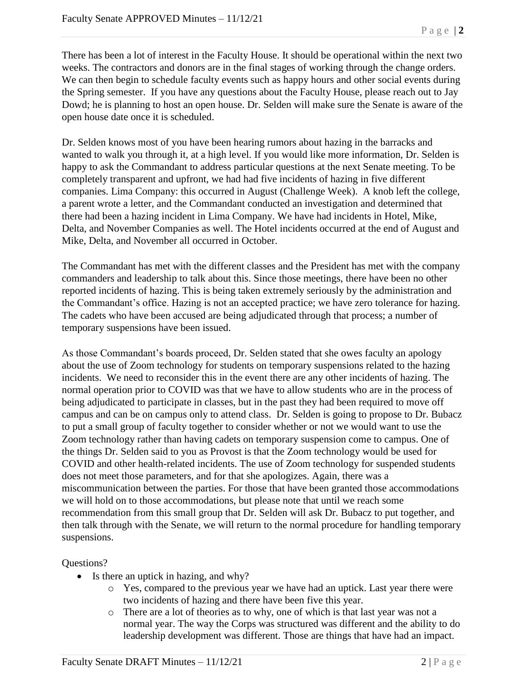There has been a lot of interest in the Faculty House. It should be operational within the next two weeks. The contractors and donors are in the final stages of working through the change orders. We can then begin to schedule faculty events such as happy hours and other social events during the Spring semester. If you have any questions about the Faculty House, please reach out to Jay Dowd; he is planning to host an open house. Dr. Selden will make sure the Senate is aware of the open house date once it is scheduled.

Dr. Selden knows most of you have been hearing rumors about hazing in the barracks and wanted to walk you through it, at a high level. If you would like more information, Dr. Selden is happy to ask the Commandant to address particular questions at the next Senate meeting. To be completely transparent and upfront, we had had five incidents of hazing in five different companies. Lima Company: this occurred in August (Challenge Week). A knob left the college, a parent wrote a letter, and the Commandant conducted an investigation and determined that there had been a hazing incident in Lima Company. We have had incidents in Hotel, Mike, Delta, and November Companies as well. The Hotel incidents occurred at the end of August and Mike, Delta, and November all occurred in October.

The Commandant has met with the different classes and the President has met with the company commanders and leadership to talk about this. Since those meetings, there have been no other reported incidents of hazing. This is being taken extremely seriously by the administration and the Commandant's office. Hazing is not an accepted practice; we have zero tolerance for hazing. The cadets who have been accused are being adjudicated through that process; a number of temporary suspensions have been issued.

As those Commandant's boards proceed, Dr. Selden stated that she owes faculty an apology about the use of Zoom technology for students on temporary suspensions related to the hazing incidents. We need to reconsider this in the event there are any other incidents of hazing. The normal operation prior to COVID was that we have to allow students who are in the process of being adjudicated to participate in classes, but in the past they had been required to move off campus and can be on campus only to attend class. Dr. Selden is going to propose to Dr. Bubacz to put a small group of faculty together to consider whether or not we would want to use the Zoom technology rather than having cadets on temporary suspension come to campus. One of the things Dr. Selden said to you as Provost is that the Zoom technology would be used for COVID and other health-related incidents. The use of Zoom technology for suspended students does not meet those parameters, and for that she apologizes. Again, there was a miscommunication between the parties. For those that have been granted those accommodations we will hold on to those accommodations, but please note that until we reach some recommendation from this small group that Dr. Selden will ask Dr. Bubacz to put together, and then talk through with the Senate, we will return to the normal procedure for handling temporary suspensions.

# Questions?

- Is there an uptick in hazing, and why?
	- o Yes, compared to the previous year we have had an uptick. Last year there were two incidents of hazing and there have been five this year.
	- o There are a lot of theories as to why, one of which is that last year was not a normal year. The way the Corps was structured was different and the ability to do leadership development was different. Those are things that have had an impact.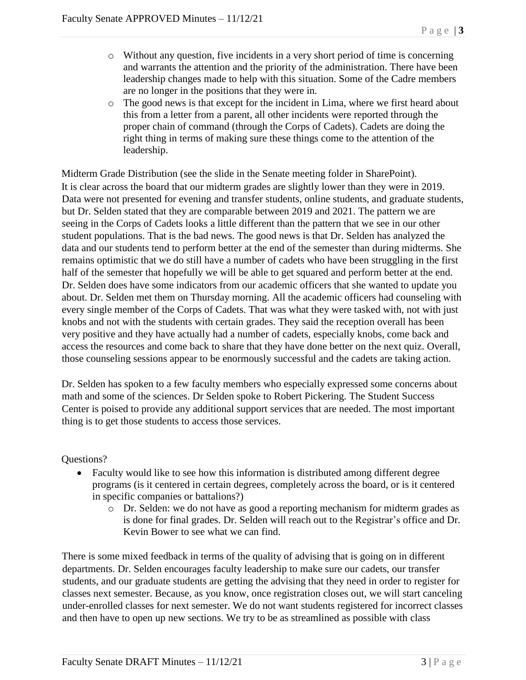- o Without any question, five incidents in a very short period of time is concerning and warrants the attention and the priority of the administration. There have been leadership changes made to help with this situation. Some of the Cadre members are no longer in the positions that they were in.
- o The good news is that except for the incident in Lima, where we first heard about this from a letter from a parent, all other incidents were reported through the proper chain of command (through the Corps of Cadets). Cadets are doing the right thing in terms of making sure these things come to the attention of the leadership.

Midterm Grade Distribution (see the slide in the Senate meeting folder in SharePoint). It is clear across the board that our midterm grades are slightly lower than they were in 2019. Data were not presented for evening and transfer students, online students, and graduate students, but Dr. Selden stated that they are comparable between 2019 and 2021. The pattern we are seeing in the Corps of Cadets looks a little different than the pattern that we see in our other student populations. That is the bad news. The good news is that Dr. Selden has analyzed the data and our students tend to perform better at the end of the semester than during midterms. She remains optimistic that we do still have a number of cadets who have been struggling in the first half of the semester that hopefully we will be able to get squared and perform better at the end. Dr. Selden does have some indicators from our academic officers that she wanted to update you about. Dr. Selden met them on Thursday morning. All the academic officers had counseling with every single member of the Corps of Cadets. That was what they were tasked with, not with just knobs and not with the students with certain grades. They said the reception overall has been very positive and they have actually had a number of cadets, especially knobs, come back and access the resources and come back to share that they have done better on the next quiz. Overall, those counseling sessions appear to be enormously successful and the cadets are taking action.

Dr. Selden has spoken to a few faculty members who especially expressed some concerns about math and some of the sciences. Dr Selden spoke to Robert Pickering. The Student Success Center is poised to provide any additional support services that are needed. The most important thing is to get those students to access those services.

Questions?

- Faculty would like to see how this information is distributed among different degree programs (is it centered in certain degrees, completely across the board, or is it centered in specific companies or battalions?)
	- o Dr. Selden: we do not have as good a reporting mechanism for midterm grades as is done for final grades. Dr. Selden will reach out to the Registrar's office and Dr. Kevin Bower to see what we can find.

There is some mixed feedback in terms of the quality of advising that is going on in different departments. Dr. Selden encourages faculty leadership to make sure our cadets, our transfer students, and our graduate students are getting the advising that they need in order to register for classes next semester. Because, as you know, once registration closes out, we will start canceling under-enrolled classes for next semester. We do not want students registered for incorrect classes and then have to open up new sections. We try to be as streamlined as possible with class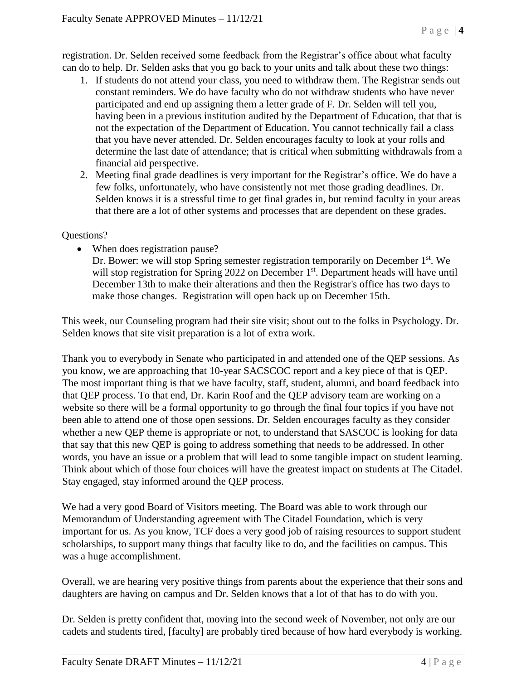registration. Dr. Selden received some feedback from the Registrar's office about what faculty can do to help. Dr. Selden asks that you go back to your units and talk about these two things:

- 1. If students do not attend your class, you need to withdraw them. The Registrar sends out constant reminders. We do have faculty who do not withdraw students who have never participated and end up assigning them a letter grade of F. Dr. Selden will tell you, having been in a previous institution audited by the Department of Education, that that is not the expectation of the Department of Education. You cannot technically fail a class that you have never attended. Dr. Selden encourages faculty to look at your rolls and determine the last date of attendance; that is critical when submitting withdrawals from a financial aid perspective.
- 2. Meeting final grade deadlines is very important for the Registrar's office. We do have a few folks, unfortunately, who have consistently not met those grading deadlines. Dr. Selden knows it is a stressful time to get final grades in, but remind faculty in your areas that there are a lot of other systems and processes that are dependent on these grades.

### Questions?

• When does registration pause?

Dr. Bower: we will stop Spring semester registration temporarily on December 1<sup>st</sup>. We will stop registration for Spring 2022 on December 1<sup>st</sup>. Department heads will have until December 13th to make their alterations and then the Registrar's office has two days to make those changes. Registration will open back up on December 15th.

This week, our Counseling program had their site visit; shout out to the folks in Psychology. Dr. Selden knows that site visit preparation is a lot of extra work.

Thank you to everybody in Senate who participated in and attended one of the QEP sessions. As you know, we are approaching that 10-year SACSCOC report and a key piece of that is QEP. The most important thing is that we have faculty, staff, student, alumni, and board feedback into that QEP process. To that end, Dr. Karin Roof and the QEP advisory team are working on a website so there will be a formal opportunity to go through the final four topics if you have not been able to attend one of those open sessions. Dr. Selden encourages faculty as they consider whether a new QEP theme is appropriate or not, to understand that SASCOC is looking for data that say that this new QEP is going to address something that needs to be addressed. In other words, you have an issue or a problem that will lead to some tangible impact on student learning. Think about which of those four choices will have the greatest impact on students at The Citadel. Stay engaged, stay informed around the QEP process.

We had a very good Board of Visitors meeting. The Board was able to work through our Memorandum of Understanding agreement with The Citadel Foundation, which is very important for us. As you know, TCF does a very good job of raising resources to support student scholarships, to support many things that faculty like to do, and the facilities on campus. This was a huge accomplishment.

Overall, we are hearing very positive things from parents about the experience that their sons and daughters are having on campus and Dr. Selden knows that a lot of that has to do with you.

Dr. Selden is pretty confident that, moving into the second week of November, not only are our cadets and students tired, [faculty] are probably tired because of how hard everybody is working.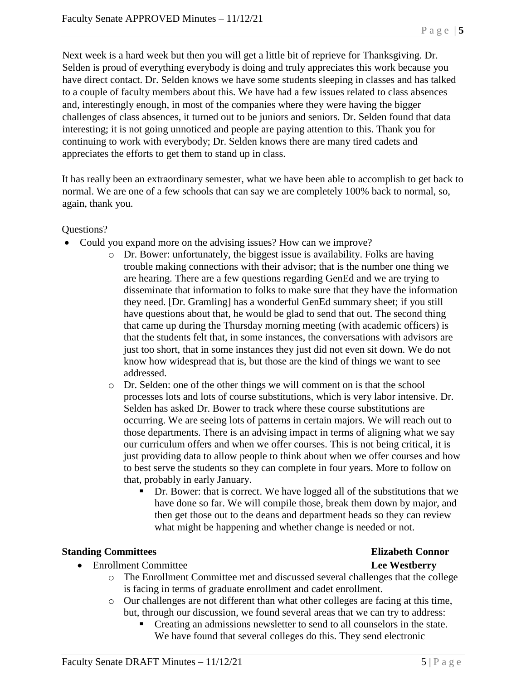Next week is a hard week but then you will get a little bit of reprieve for Thanksgiving. Dr. Selden is proud of everything everybody is doing and truly appreciates this work because you have direct contact. Dr. Selden knows we have some students sleeping in classes and has talked to a couple of faculty members about this. We have had a few issues related to class absences and, interestingly enough, in most of the companies where they were having the bigger challenges of class absences, it turned out to be juniors and seniors. Dr. Selden found that data interesting; it is not going unnoticed and people are paying attention to this. Thank you for continuing to work with everybody; Dr. Selden knows there are many tired cadets and appreciates the efforts to get them to stand up in class.

It has really been an extraordinary semester, what we have been able to accomplish to get back to normal. We are one of a few schools that can say we are completely 100% back to normal, so, again, thank you.

Questions?

- Could you expand more on the advising issues? How can we improve?
	- o Dr. Bower: unfortunately, the biggest issue is availability. Folks are having trouble making connections with their advisor; that is the number one thing we are hearing. There are a few questions regarding GenEd and we are trying to disseminate that information to folks to make sure that they have the information they need. [Dr. Gramling] has a wonderful GenEd summary sheet; if you still have questions about that, he would be glad to send that out. The second thing that came up during the Thursday morning meeting (with academic officers) is that the students felt that, in some instances, the conversations with advisors are just too short, that in some instances they just did not even sit down. We do not know how widespread that is, but those are the kind of things we want to see addressed.
	- o Dr. Selden: one of the other things we will comment on is that the school processes lots and lots of course substitutions, which is very labor intensive. Dr. Selden has asked Dr. Bower to track where these course substitutions are occurring. We are seeing lots of patterns in certain majors. We will reach out to those departments. There is an advising impact in terms of aligning what we say our curriculum offers and when we offer courses. This is not being critical, it is just providing data to allow people to think about when we offer courses and how to best serve the students so they can complete in four years. More to follow on that, probably in early January.
		- Dr. Bower: that is correct. We have logged all of the substitutions that we have done so far. We will compile those, break them down by major, and then get those out to the deans and department heads so they can review what might be happening and whether change is needed or not.

### **Standing Committees Elizabeth Connor**

- Enrollment Committee **Lee Westberry**
- - o The Enrollment Committee met and discussed several challenges that the college is facing in terms of graduate enrollment and cadet enrollment.
	- o Our challenges are not different than what other colleges are facing at this time, but, through our discussion, we found several areas that we can try to address:
		- Creating an admissions newsletter to send to all counselors in the state. We have found that several colleges do this. They send electronic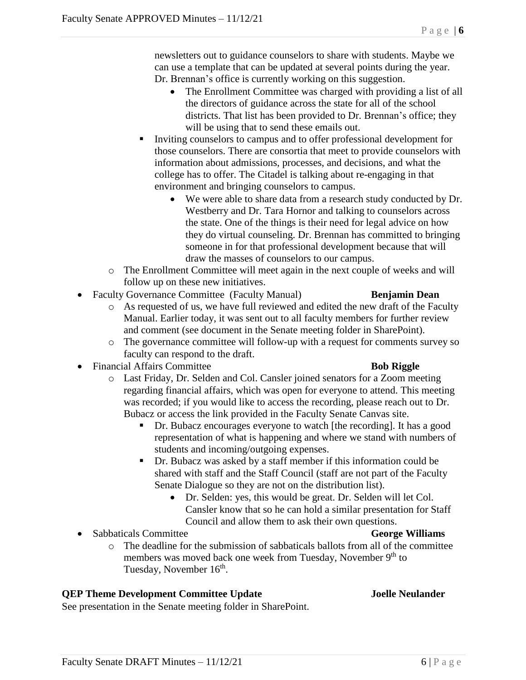newsletters out to guidance counselors to share with students. Maybe we can use a template that can be updated at several points during the year. Dr. Brennan's office is currently working on this suggestion.

- The Enrollment Committee was charged with providing a list of all the directors of guidance across the state for all of the school districts. That list has been provided to Dr. Brennan's office; they will be using that to send these emails out.
- Inviting counselors to campus and to offer professional development for those counselors. There are consortia that meet to provide counselors with information about admissions, processes, and decisions, and what the college has to offer. The Citadel is talking about re-engaging in that environment and bringing counselors to campus.
	- We were able to share data from a research study conducted by Dr. Westberry and Dr. Tara Hornor and talking to counselors across the state. One of the things is their need for legal advice on how they do virtual counseling. Dr. Brennan has committed to bringing someone in for that professional development because that will draw the masses of counselors to our campus.
- o The Enrollment Committee will meet again in the next couple of weeks and will follow up on these new initiatives.
- Faculty Governance Committee (Faculty Manual) **Benjamin Dean** 
	- o As requested of us, we have full reviewed and edited the new draft of the Faculty Manual. Earlier today, it was sent out to all faculty members for further review and comment (see document in the Senate meeting folder in SharePoint).
	- o The governance committee will follow-up with a request for comments survey so faculty can respond to the draft.
- Financial Affairs Committee **Bob Riggle**

- o Last Friday, Dr. Selden and Col. Cansler joined senators for a Zoom meeting regarding financial affairs, which was open for everyone to attend. This meeting was recorded; if you would like to access the recording, please reach out to Dr. Bubacz or access the link provided in the Faculty Senate Canvas site.
	- Dr. Bubacz encourages everyone to watch [the recording]. It has a good representation of what is happening and where we stand with numbers of students and incoming/outgoing expenses.
	- Dr. Bubacz was asked by a staff member if this information could be shared with staff and the Staff Council (staff are not part of the Faculty Senate Dialogue so they are not on the distribution list).
		- Dr. Selden: yes, this would be great. Dr. Selden will let Col. Cansler know that so he can hold a similar presentation for Staff Council and allow them to ask their own questions.
- Sabbaticals Committee **George Williams**
	- o The deadline for the submission of sabbaticals ballots from all of the committee members was moved back one week from Tuesday, November 9<sup>th</sup> to Tuesday, November 16<sup>th</sup>.

# **QEP Theme Development Committee Update Joelle Neulander**

See presentation in the Senate meeting folder in SharePoint.